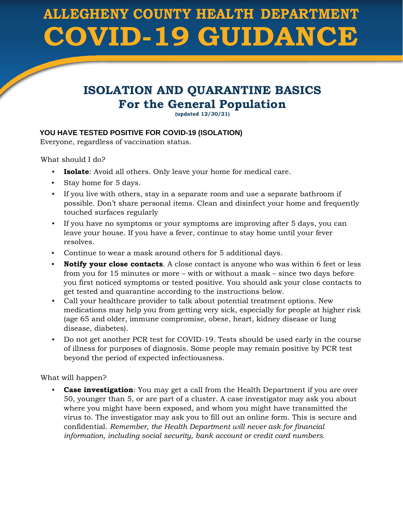# **ALLEGHENY COUNTY HEALTH DEPARTMENT COVID-19 GUIDANCE**

# **ISOLATION AND QUARANTINE BASICS For the General Population**

**(updated 12/30/21)**

## **YOU HAVE TESTED POSITIVE FOR COVID-19 (ISOLATION)**

Everyone, regardless of vaccination status.

What should I do?

- **Isolate**: Avoid all others. Only leave your home for medical care.
- Stay home for 5 days.
- If you live with others, stay in a separate room and use a separate bathroom if possible. Don't share personal items. Clean and disinfect your home and frequently touched surfaces regularly
- If you have no symptoms or your symptoms are improving after 5 days, you can leave your house. If you have a fever, continue to stay home until your fever resolves.
- Continue to wear a mask around others for 5 additional days.
- **Notify your close contacts**. A close contact is anyone who was within 6 feet or less from you for 15 minutes or more – with or without a mask – since two days before you first noticed symptoms or tested positive. You should ask your close contacts to get tested and quarantine according to the instructions below.
- Call your healthcare provider to talk about potential treatment options. New medications may help you from getting very sick, especially for people at higher risk (age 65 and older, immune compromise, obese, heart, kidney disease or lung disease, diabetes).
- Do not get another PCR test for COVID-19. Tests should be used early in the course of illness for purposes of diagnosis. Some people may remain positive by PCR test beyond the period of expected infectiousness.

What will happen?

**Case investigation**: You may get a call from the Health Department if you are over 50, younger than 5, or are part of a cluster. A case investigator may ask you about where you might have been exposed, and whom you might have transmitted the virus to. The investigator may ask you to fill out an online form. This is secure and confidential. *Remember, the Health Department will never ask for financial information, including social security, bank account or credit card numbers.*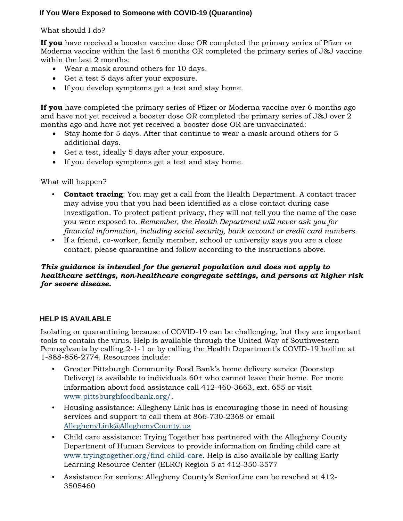### **If You Were Exposed to Someone with COVID-19 (Quarantine)**

#### What should I do?

**If you** have received a booster vaccine dose OR completed the primary series of Pfizer or Moderna vaccine within the last 6 months OR completed the primary series of J&J vaccine within the last 2 months:

- Wear a mask around others for 10 days.
- Get a test 5 days after your exposure.
- If you develop symptoms get a test and stay home.

**If you** have completed the primary series of Pfizer or Moderna vaccine over 6 months ago and have not yet received a booster dose OR completed the primary series of J&J over 2 months ago and have not yet received a booster dose OR are unvaccinated:

- Stay home for 5 days. After that continue to wear a mask around others for 5 additional days.
- Get a test, ideally 5 days after your exposure.
- If you develop symptoms get a test and stay home.

What will happen?

- **Contact tracing**: You may get a call from the Health Department. A contact tracer may advise you that you had been identified as a close contact during case investigation. To protect patient privacy, they will not tell you the name of the case you were exposed to. *Remember, the Health Department will never ask you for financial information, including social security, bank account or credit card numbers.*
- If a friend, co-worker, family member, school or university says you are a close contact, please quarantine and follow according to the instructions above.

#### *This guidance is intended for the general population and does not apply to healthcare settings, non-healthcare congregate settings, and persons at higher risk for severe disease.*

#### **HELP IS AVAILABLE**

Isolating or quarantining because of COVID-19 can be challenging, but they are important tools to contain the virus. Help is available through the United Way of Southwestern Pennsylvania by calling 2-1-1 or by calling the Health Department's COVID-19 hotline at 1-888-856-2774. Resources include:

- Greater Pittsburgh Community Food Bank's home delivery service (Doorstep Delivery) is available to individuals 60+ who cannot leave their home. For more information about food assistance call 412-460-3663, ext. 655 or visit [www.pittsburghfoodbank.org/.](http://www.pittsburghfoodbank.org/)
- Housing assistance: Allegheny Link has is encouraging those in need of housing services and support to call them at 866-730-2368 or email AlleghenyLink@AlleghenyCounty.us
- Child care assistance: Trying Together has partnered with the Allegheny County Department of Human Services to provide information on finding child care at [www.tryingtogether.org/find-child-car](https://www.tryingtogether.org/find-child-care)[e.](http://www.tryingtogether.org/find-child-care) [H](http://www.tryingtogether.org/find-child-care)elp is also available by calling Early Learning Resource Center (ELRC) Region 5 at 412-350-3577
- Assistance for seniors: Allegheny County's SeniorLine can be reached at 412- 3505460